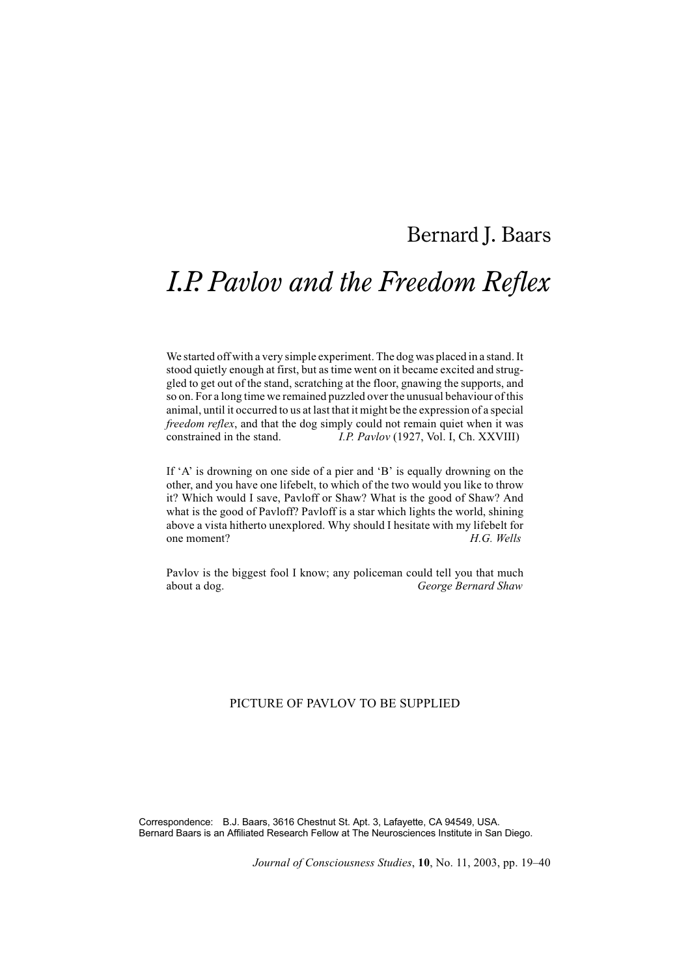# Bernard J. Baars

# *I.P. Pavlov and the Freedom Reflex*

We started off with a very simple experiment. The dog was placed in a stand. It stood quietly enough at first, but as time went on it became excited and struggled to get out of the stand, scratching at the floor, gnawing the supports, and so on. For a long time we remained puzzled over the unusual behaviour of this animal, until it occurred to us at last that it might be the expression of a special *freedom reflex*, and that the dog simply could not remain quiet when it was constrained in the stand. *I.P. Pavlov* (1927, Vol. I, Ch. XXVIII)

If 'A' is drowning on one side of a pier and 'B' is equally drowning on the other, and you have one lifebelt, to which of the two would you like to throw it? Which would I save, Pavloff or Shaw? What is the good of Shaw? And what is the good of Pavloff? Pavloff is a star which lights the world, shining above a vista hitherto unexplored. Why should I hesitate with my lifebelt for one moment?<br> $H G$  Wells one moment? *H.G. Wells*

Pavlov is the biggest fool I know; any policeman could tell you that much about a dog. *George Bernard Shaw*

# PICTURE OF PAVLOV TO BE SUPPLIED

Correspondence: B.J. Baars, 3616 Chestnut St. Apt. 3, Lafayette, CA 94549, USA. Bernard Baars is an Affiliated Research Fellow at The Neurosciences Institute in San Diego.

*Journal of Consciousness Studies*, **10**, No. 11, 2003, pp. 19–40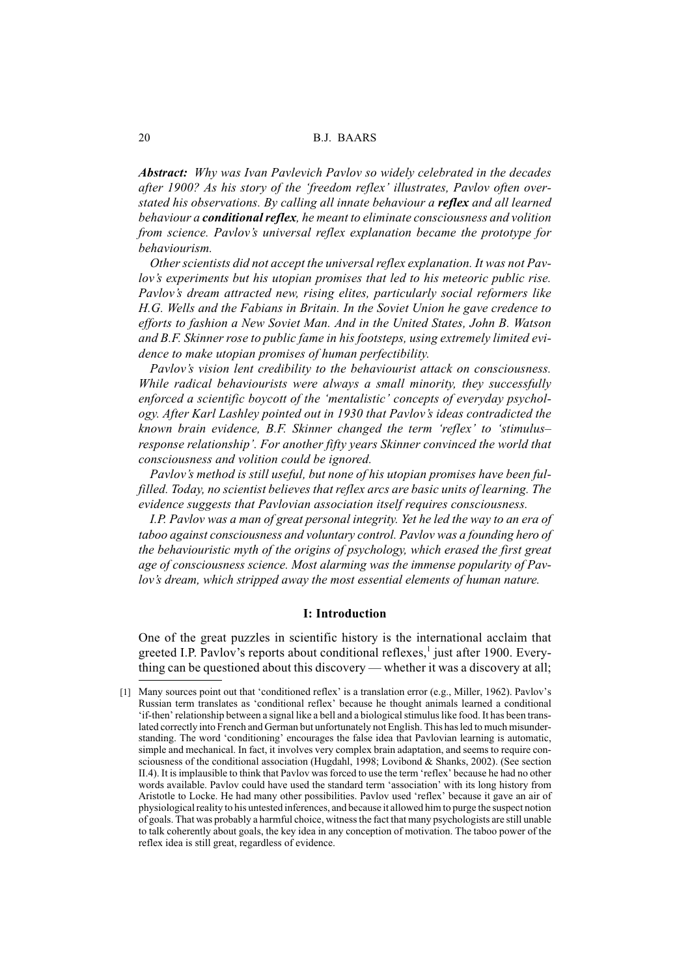*Abstract: Why was Ivan Pavlevich Pavlov so widely celebrated in the decades after 1900? As his story of the 'freedom reflex' illustrates, Pavlov often overstated his observations. By calling all innate behaviour a reflex and all learned behaviour a conditional reflex, he meant to eliminate consciousness and volition from science. Pavlov's universal reflex explanation became the prototype for behaviourism.*

*Other scientists did not accept the universal reflex explanation. It was not Pavlov's experiments but his utopian promises that led to his meteoric public rise. Pavlov's dream attracted new, rising elites, particularly social reformers like H.G. Wells and the Fabians in Britain. In the Soviet Union he gave credence to efforts to fashion a New Soviet Man. And in the United States, John B. Watson and B.F. Skinner rose to public fame in his footsteps, using extremely limited evidence to make utopian promises of human perfectibility.*

*Pavlov's vision lent credibility to the behaviourist attack on consciousness. While radical behaviourists were always a small minority, they successfully enforced a scientific boycott of the 'mentalistic' concepts of everyday psychology. After Karl Lashley pointed out in 1930 that Pavlov's ideas contradicted the known brain evidence, B.F. Skinner changed the term 'reflex' to 'stimulus– response relationship'. For another fifty years Skinner convinced the world that consciousness and volition could be ignored.*

*Pavlov's method is still useful, but none of his utopian promises have been fulfilled. Today, no scientist believes that reflex arcs are basic units of learning. The evidence suggests that Pavlovian association itself requires consciousness.*

*I.P. Pavlov was a man of great personal integrity. Yet he led the way to an era of taboo against consciousness and voluntary control. Pavlov was a founding hero of the behaviouristic myth of the origins of psychology, which erased the first great age of consciousness science. Most alarming was the immense popularity of Pavlov's dream, which stripped away the most essential elements of human nature.*

#### **I: Introduction**

One of the great puzzles in scientific history is the international acclaim that greeted I.P. Pavlov's reports about conditional reflexes, $\frac{1}{1}$  just after 1900. Everything can be questioned about this discovery — whether it was a discovery at all;

<sup>[1]</sup> Many sources point out that 'conditioned reflex' is a translation error (e.g., Miller, 1962). Pavlov's Russian term translates as 'conditional reflex' because he thought animals learned a conditional 'if-then' relationship between a signal like a bell and a biological stimulus like food. It has been translated correctly into French and German but unfortunately not English. This has led to much misunderstanding. The word 'conditioning' encourages the false idea that Pavlovian learning is automatic, simple and mechanical. In fact, it involves very complex brain adaptation, and seems to require consciousness of the conditional association (Hugdahl, 1998; Lovibond & Shanks, 2002). (See section II.4). It is implausible to think that Pavlov was forced to use the term 'reflex' because he had no other words available. Pavlov could have used the standard term 'association' with its long history from Aristotle to Locke. He had many other possibilities. Pavlov used 'reflex' because it gave an air of physiological reality to his untested inferences, and because it allowed him to purge the suspect notion of goals. That was probably a harmful choice, witness the fact that many psychologists are still unable to talk coherently about goals, the key idea in any conception of motivation. The taboo power of the reflex idea is still great, regardless of evidence.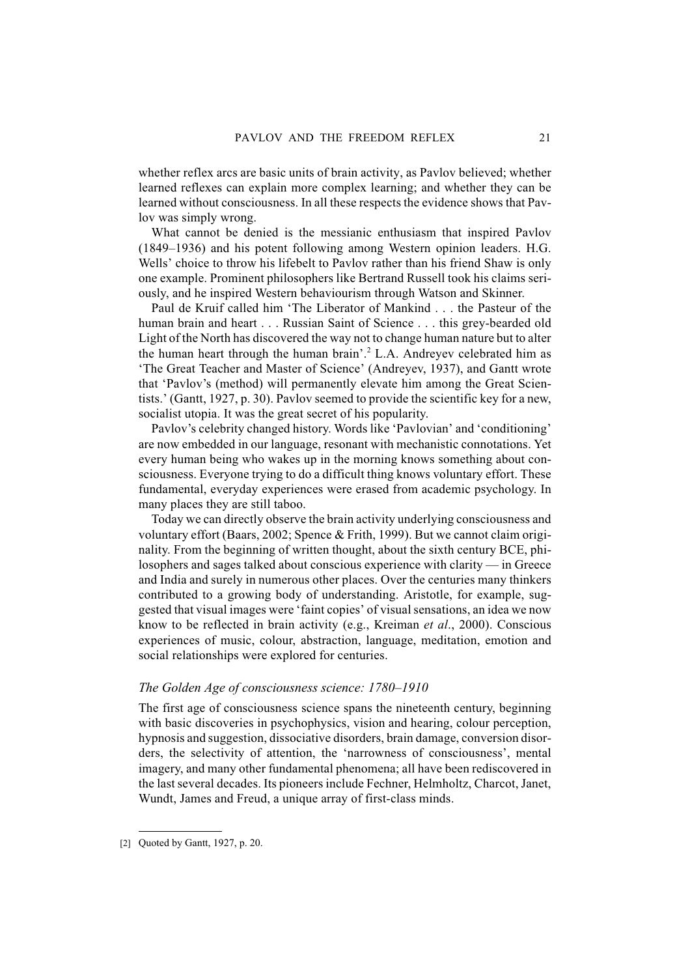whether reflex arcs are basic units of brain activity, as Pavlov believed; whether learned reflexes can explain more complex learning; and whether they can be learned without consciousness. In all these respects the evidence shows that Pavlov was simply wrong.

What cannot be denied is the messianic enthusiasm that inspired Pavlov (1849–1936) and his potent following among Western opinion leaders. H.G. Wells' choice to throw his lifebelt to Paylov rather than his friend Shaw is only one example. Prominent philosophers like Bertrand Russell took his claims seriously, and he inspired Western behaviourism through Watson and Skinner.

Paul de Kruif called him 'The Liberator of Mankind . . . the Pasteur of the human brain and heart... Russian Saint of Science... this grey-bearded old Light of the North has discovered the way not to change human nature but to alter the human heart through the human brain'.<sup>2</sup> L.A. Andreyev celebrated him as 'The Great Teacher and Master of Science' (Andreyev, 1937), and Gantt wrote that 'Pavlov's (method) will permanently elevate him among the Great Scientists.' (Gantt, 1927, p. 30). Pavlov seemed to provide the scientific key for a new, socialist utopia. It was the great secret of his popularity.

Pavlov's celebrity changed history. Words like 'Pavlovian' and 'conditioning' are now embedded in our language, resonant with mechanistic connotations. Yet every human being who wakes up in the morning knows something about consciousness. Everyone trying to do a difficult thing knows voluntary effort. These fundamental, everyday experiences were erased from academic psychology. In many places they are still taboo.

Today we can directly observe the brain activity underlying consciousness and voluntary effort (Baars, 2002; Spence & Frith, 1999). But we cannot claim originality. From the beginning of written thought, about the sixth century BCE, philosophers and sages talked about conscious experience with clarity — in Greece and India and surely in numerous other places. Over the centuries many thinkers contributed to a growing body of understanding. Aristotle, for example, suggested that visual images were 'faint copies' of visual sensations, an idea we now know to be reflected in brain activity (e.g., Kreiman *et al*., 2000). Conscious experiences of music, colour, abstraction, language, meditation, emotion and social relationships were explored for centuries.

#### *The Golden Age of consciousness science: 1780–1910*

The first age of consciousness science spans the nineteenth century, beginning with basic discoveries in psychophysics, vision and hearing, colour perception, hypnosis and suggestion, dissociative disorders, brain damage, conversion disorders, the selectivity of attention, the 'narrowness of consciousness', mental imagery, and many other fundamental phenomena; all have been rediscovered in the last several decades. Its pioneers include Fechner, Helmholtz, Charcot, Janet, Wundt, James and Freud, a unique array of first-class minds.

<sup>[2]</sup> Quoted by Gantt, 1927, p. 20.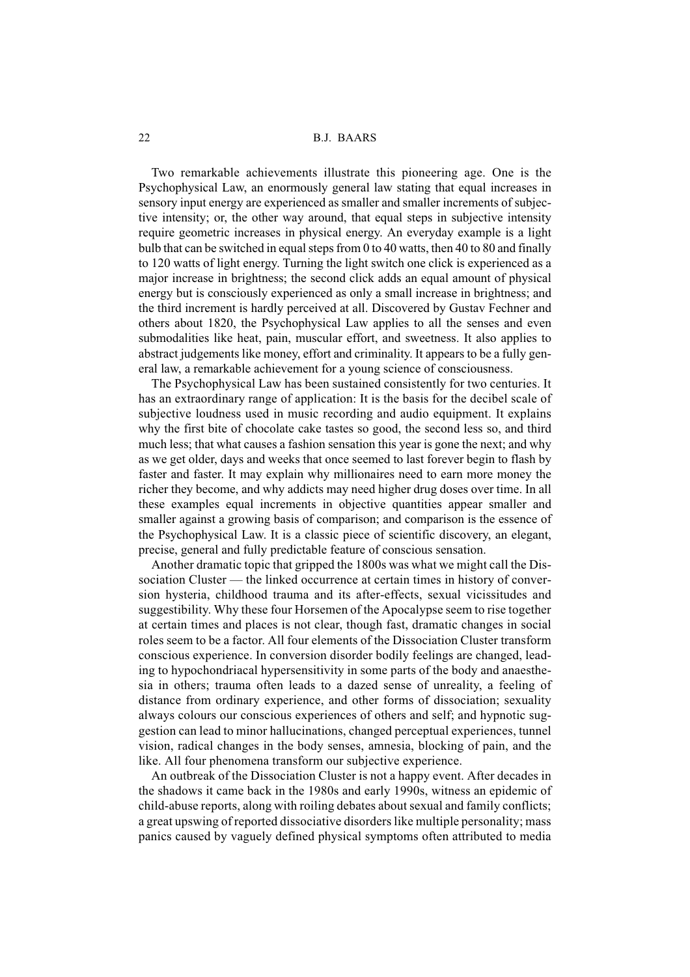Two remarkable achievements illustrate this pioneering age. One is the Psychophysical Law, an enormously general law stating that equal increases in sensory input energy are experienced as smaller and smaller increments of subjective intensity; or, the other way around, that equal steps in subjective intensity require geometric increases in physical energy. An everyday example is a light bulb that can be switched in equal steps from 0 to 40 watts, then 40 to 80 and finally to 120 watts of light energy. Turning the light switch one click is experienced as a major increase in brightness; the second click adds an equal amount of physical energy but is consciously experienced as only a small increase in brightness; and the third increment is hardly perceived at all. Discovered by Gustav Fechner and others about 1820, the Psychophysical Law applies to all the senses and even submodalities like heat, pain, muscular effort, and sweetness. It also applies to abstract judgements like money, effort and criminality. It appears to be a fully general law, a remarkable achievement for a young science of consciousness.

The Psychophysical Law has been sustained consistently for two centuries. It has an extraordinary range of application: It is the basis for the decibel scale of subjective loudness used in music recording and audio equipment. It explains why the first bite of chocolate cake tastes so good, the second less so, and third much less; that what causes a fashion sensation this year is gone the next; and why as we get older, days and weeks that once seemed to last forever begin to flash by faster and faster. It may explain why millionaires need to earn more money the richer they become, and why addicts may need higher drug doses over time. In all these examples equal increments in objective quantities appear smaller and smaller against a growing basis of comparison; and comparison is the essence of the Psychophysical Law. It is a classic piece of scientific discovery, an elegant, precise, general and fully predictable feature of conscious sensation.

Another dramatic topic that gripped the 1800s was what we might call the Dissociation Cluster — the linked occurrence at certain times in history of conversion hysteria, childhood trauma and its after-effects, sexual vicissitudes and suggestibility. Why these four Horsemen of the Apocalypse seem to rise together at certain times and places is not clear, though fast, dramatic changes in social roles seem to be a factor. All four elements of the Dissociation Cluster transform conscious experience. In conversion disorder bodily feelings are changed, leading to hypochondriacal hypersensitivity in some parts of the body and anaesthesia in others; trauma often leads to a dazed sense of unreality, a feeling of distance from ordinary experience, and other forms of dissociation; sexuality always colours our conscious experiences of others and self; and hypnotic suggestion can lead to minor hallucinations, changed perceptual experiences, tunnel vision, radical changes in the body senses, amnesia, blocking of pain, and the like. All four phenomena transform our subjective experience.

An outbreak of the Dissociation Cluster is not a happy event. After decades in the shadows it came back in the 1980s and early 1990s, witness an epidemic of child-abuse reports, along with roiling debates about sexual and family conflicts; a great upswing of reported dissociative disorders like multiple personality; mass panics caused by vaguely defined physical symptoms often attributed to media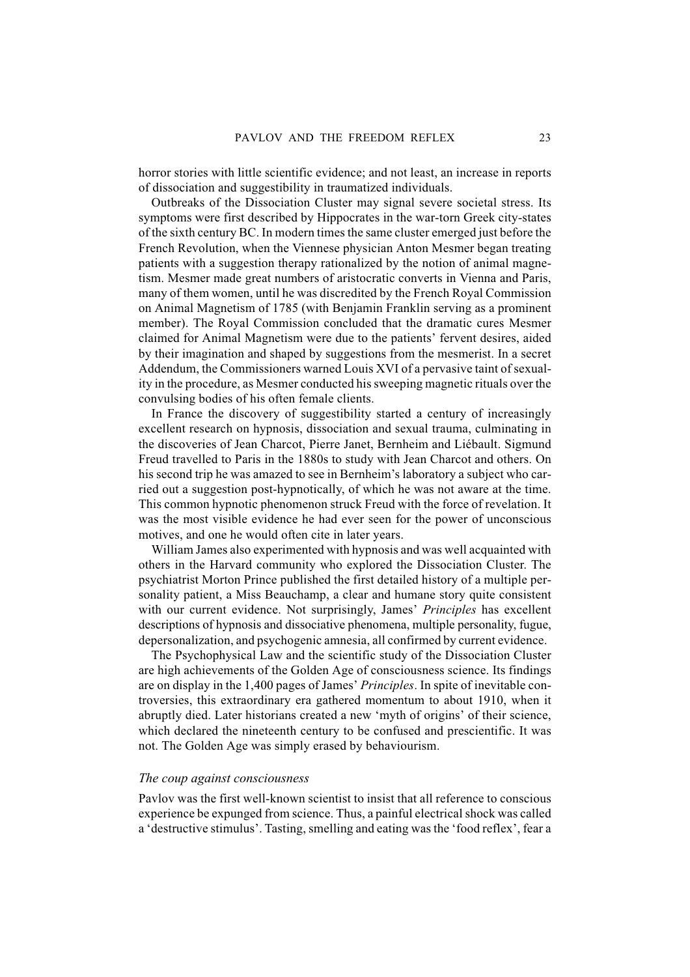horror stories with little scientific evidence; and not least, an increase in reports of dissociation and suggestibility in traumatized individuals.

Outbreaks of the Dissociation Cluster may signal severe societal stress. Its symptoms were first described by Hippocrates in the war-torn Greek city-states of the sixth century BC. In modern times the same cluster emerged just before the French Revolution, when the Viennese physician Anton Mesmer began treating patients with a suggestion therapy rationalized by the notion of animal magnetism. Mesmer made great numbers of aristocratic converts in Vienna and Paris, many of them women, until he was discredited by the French Royal Commission on Animal Magnetism of 1785 (with Benjamin Franklin serving as a prominent member). The Royal Commission concluded that the dramatic cures Mesmer claimed for Animal Magnetism were due to the patients' fervent desires, aided by their imagination and shaped by suggestions from the mesmerist. In a secret Addendum, the Commissioners warned Louis XVI of a pervasive taint of sexuality in the procedure, as Mesmer conducted his sweeping magnetic rituals over the convulsing bodies of his often female clients.

In France the discovery of suggestibility started a century of increasingly excellent research on hypnosis, dissociation and sexual trauma, culminating in the discoveries of Jean Charcot, Pierre Janet, Bernheim and Liébault. Sigmund Freud travelled to Paris in the 1880s to study with Jean Charcot and others. On his second trip he was amazed to see in Bernheim's laboratory a subject who carried out a suggestion post-hypnotically, of which he was not aware at the time. This common hypnotic phenomenon struck Freud with the force of revelation. It was the most visible evidence he had ever seen for the power of unconscious motives, and one he would often cite in later years.

William James also experimented with hypnosis and was well acquainted with others in the Harvard community who explored the Dissociation Cluster. The psychiatrist Morton Prince published the first detailed history of a multiple personality patient, a Miss Beauchamp, a clear and humane story quite consistent with our current evidence. Not surprisingly, James' *Principles* has excellent descriptions of hypnosis and dissociative phenomena, multiple personality, fugue, depersonalization, and psychogenic amnesia, all confirmed by current evidence.

The Psychophysical Law and the scientific study of the Dissociation Cluster are high achievements of the Golden Age of consciousness science. Its findings are on display in the 1,400 pages of James' *Principles*. In spite of inevitable controversies, this extraordinary era gathered momentum to about 1910, when it abruptly died. Later historians created a new 'myth of origins' of their science, which declared the nineteenth century to be confused and prescientific. It was not. The Golden Age was simply erased by behaviourism.

## *The coup against consciousness*

Pavlov was the first well-known scientist to insist that all reference to conscious experience be expunged from science. Thus, a painful electrical shock was called a 'destructive stimulus'. Tasting, smelling and eating was the 'food reflex', fear a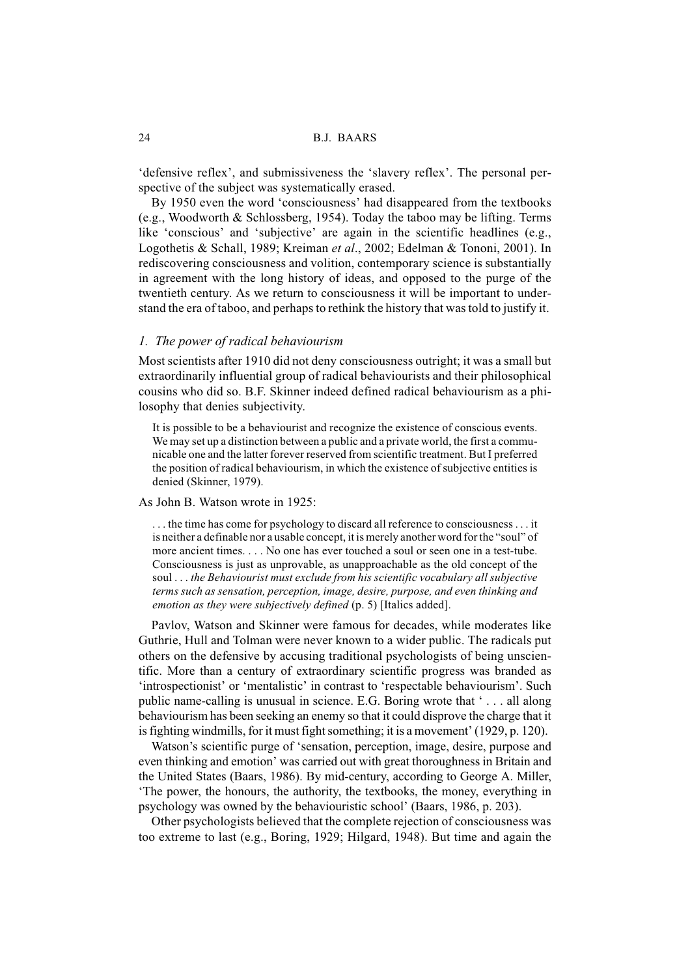'defensive reflex', and submissiveness the 'slavery reflex'. The personal perspective of the subject was systematically erased.

By 1950 even the word 'consciousness' had disappeared from the textbooks (e.g., Woodworth & Schlossberg, 1954). Today the taboo may be lifting. Terms like 'conscious' and 'subjective' are again in the scientific headlines (e.g., Logothetis & Schall, 1989; Kreiman *et al*., 2002; Edelman & Tononi, 2001). In rediscovering consciousness and volition, contemporary science is substantially in agreement with the long history of ideas, and opposed to the purge of the twentieth century. As we return to consciousness it will be important to understand the era of taboo, and perhaps to rethink the history that was told to justify it.

#### *1. The power of radical behaviourism*

Most scientists after 1910 did not deny consciousness outright; it was a small but extraordinarily influential group of radical behaviourists and their philosophical cousins who did so. B.F. Skinner indeed defined radical behaviourism as a philosophy that denies subjectivity.

It is possible to be a behaviourist and recognize the existence of conscious events. We may set up a distinction between a public and a private world, the first a communicable one and the latter forever reserved from scientific treatment. But I preferred the position of radical behaviourism, in which the existence of subjective entities is denied (Skinner, 1979).

#### As John B. Watson wrote in 1925:

. . . the time has come for psychology to discard all reference to consciousness . . . it is neither a definable nor a usable concept, it is merely another word for the "soul" of more ancient times. . . . No one has ever touched a soul or seen one in a test-tube. Consciousness is just as unprovable, as unapproachable as the old concept of the soul . . . *the Behaviourist must exclude from his scientific vocabulary all subjective terms such as sensation, perception, image, desire, purpose, and even thinking and emotion as they were subjectively defined* (p. 5) [Italics added].

Pavlov, Watson and Skinner were famous for decades, while moderates like Guthrie, Hull and Tolman were never known to a wider public. The radicals put others on the defensive by accusing traditional psychologists of being unscientific. More than a century of extraordinary scientific progress was branded as 'introspectionist' or 'mentalistic' in contrast to 'respectable behaviourism'. Such public name-calling is unusual in science. E.G. Boring wrote that ' . . . all along behaviourism has been seeking an enemy so that it could disprove the charge that it is fighting windmills, for it must fight something; it is a movement' (1929, p. 120).

Watson's scientific purge of 'sensation, perception, image, desire, purpose and even thinking and emotion' was carried out with great thoroughness in Britain and the United States (Baars, 1986). By mid-century, according to George A. Miller, 'The power, the honours, the authority, the textbooks, the money, everything in psychology was owned by the behaviouristic school' (Baars, 1986, p. 203).

Other psychologists believed that the complete rejection of consciousness was too extreme to last (e.g., Boring, 1929; Hilgard, 1948). But time and again the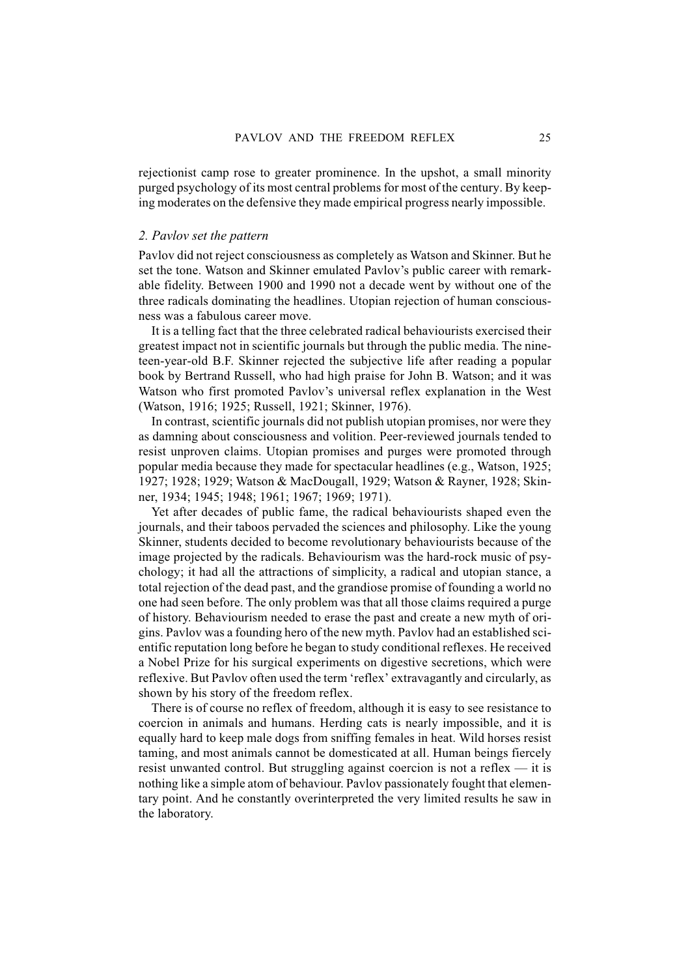rejectionist camp rose to greater prominence. In the upshot, a small minority purged psychology of its most central problems for most of the century. By keeping moderates on the defensive they made empirical progress nearly impossible.

# *2. Pavlov set the pattern*

Pavlov did not reject consciousness as completely as Watson and Skinner. But he set the tone. Watson and Skinner emulated Pavlov's public career with remarkable fidelity. Between 1900 and 1990 not a decade went by without one of the three radicals dominating the headlines. Utopian rejection of human consciousness was a fabulous career move.

It is a telling fact that the three celebrated radical behaviourists exercised their greatest impact not in scientific journals but through the public media. The nineteen-year-old B.F. Skinner rejected the subjective life after reading a popular book by Bertrand Russell, who had high praise for John B. Watson; and it was Watson who first promoted Pavlov's universal reflex explanation in the West (Watson, 1916; 1925; Russell, 1921; Skinner, 1976).

In contrast, scientific journals did not publish utopian promises, nor were they as damning about consciousness and volition. Peer-reviewed journals tended to resist unproven claims. Utopian promises and purges were promoted through popular media because they made for spectacular headlines (e.g., Watson, 1925; 1927; 1928; 1929; Watson & MacDougall, 1929; Watson & Rayner, 1928; Skinner, 1934; 1945; 1948; 1961; 1967; 1969; 1971).

Yet after decades of public fame, the radical behaviourists shaped even the journals, and their taboos pervaded the sciences and philosophy. Like the young Skinner, students decided to become revolutionary behaviourists because of the image projected by the radicals. Behaviourism was the hard-rock music of psychology; it had all the attractions of simplicity, a radical and utopian stance, a total rejection of the dead past, and the grandiose promise of founding a world no one had seen before. The only problem was that all those claims required a purge of history. Behaviourism needed to erase the past and create a new myth of origins. Pavlov was a founding hero of the new myth. Pavlov had an established scientific reputation long before he began to study conditional reflexes. He received a Nobel Prize for his surgical experiments on digestive secretions, which were reflexive. But Pavlov often used the term 'reflex' extravagantly and circularly, as shown by his story of the freedom reflex.

There is of course no reflex of freedom, although it is easy to see resistance to coercion in animals and humans. Herding cats is nearly impossible, and it is equally hard to keep male dogs from sniffing females in heat. Wild horses resist taming, and most animals cannot be domesticated at all. Human beings fiercely resist unwanted control. But struggling against coercion is not a reflex — it is nothing like a simple atom of behaviour. Pavlov passionately fought that elementary point. And he constantly overinterpreted the very limited results he saw in the laboratory.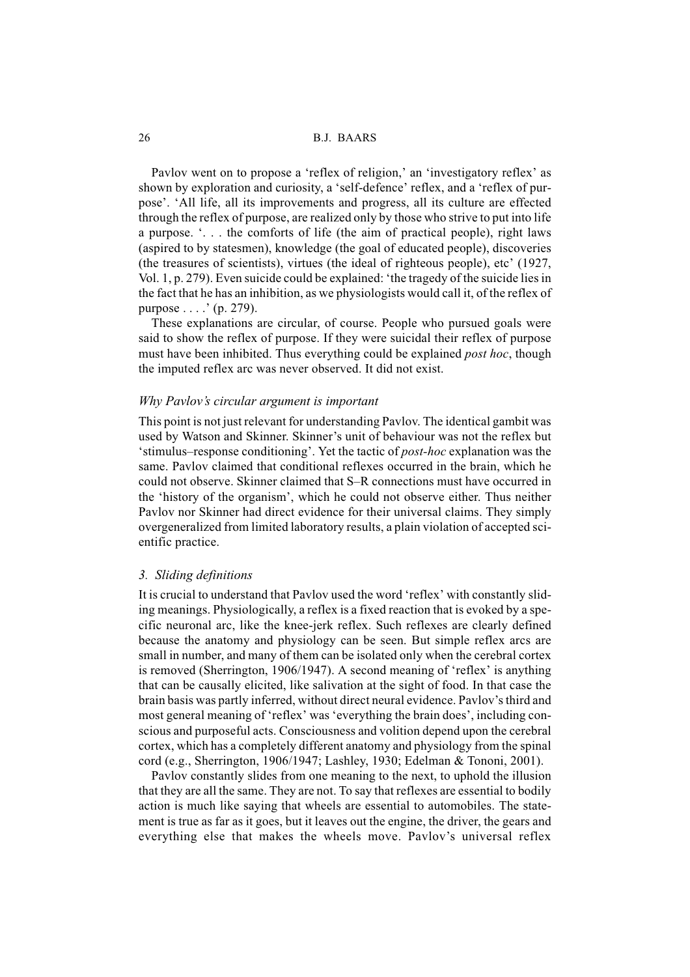Pavlov went on to propose a 'reflex of religion,' an 'investigatory reflex' as shown by exploration and curiosity, a 'self-defence' reflex, and a 'reflex of purpose'. 'All life, all its improvements and progress, all its culture are effected through the reflex of purpose, are realized only by those who strive to put into life a purpose. '. . . the comforts of life (the aim of practical people), right laws (aspired to by statesmen), knowledge (the goal of educated people), discoveries (the treasures of scientists), virtues (the ideal of righteous people), etc' (1927, Vol. 1, p. 279). Even suicide could be explained: 'the tragedy of the suicide lies in the fact that he has an inhibition, as we physiologists would call it, of the reflex of purpose . . . .' (p. 279).

These explanations are circular, of course. People who pursued goals were said to show the reflex of purpose. If they were suicidal their reflex of purpose must have been inhibited. Thus everything could be explained *post hoc*, though the imputed reflex arc was never observed. It did not exist.

# *Why Pavlov's circular argument is important*

This point is not just relevant for understanding Pavlov. The identical gambit was used by Watson and Skinner. Skinner's unit of behaviour was not the reflex but 'stimulus–response conditioning'. Yet the tactic of *post-hoc* explanation was the same. Pavlov claimed that conditional reflexes occurred in the brain, which he could not observe. Skinner claimed that S–R connections must have occurred in the 'history of the organism', which he could not observe either. Thus neither Pavlov nor Skinner had direct evidence for their universal claims. They simply overgeneralized from limited laboratory results, a plain violation of accepted scientific practice.

#### *3. Sliding definitions*

It is crucial to understand that Pavlov used the word 'reflex' with constantly sliding meanings. Physiologically, a reflex is a fixed reaction that is evoked by a specific neuronal arc, like the knee-jerk reflex. Such reflexes are clearly defined because the anatomy and physiology can be seen. But simple reflex arcs are small in number, and many of them can be isolated only when the cerebral cortex is removed (Sherrington, 1906/1947). A second meaning of 'reflex' is anything that can be causally elicited, like salivation at the sight of food. In that case the brain basis was partly inferred, without direct neural evidence. Pavlov's third and most general meaning of 'reflex' was 'everything the brain does', including conscious and purposeful acts. Consciousness and volition depend upon the cerebral cortex, which has a completely different anatomy and physiology from the spinal cord (e.g., Sherrington, 1906/1947; Lashley, 1930; Edelman & Tononi, 2001).

Pavlov constantly slides from one meaning to the next, to uphold the illusion that they are all the same. They are not. To say that reflexes are essential to bodily action is much like saying that wheels are essential to automobiles. The statement is true as far as it goes, but it leaves out the engine, the driver, the gears and everything else that makes the wheels move. Pavlov's universal reflex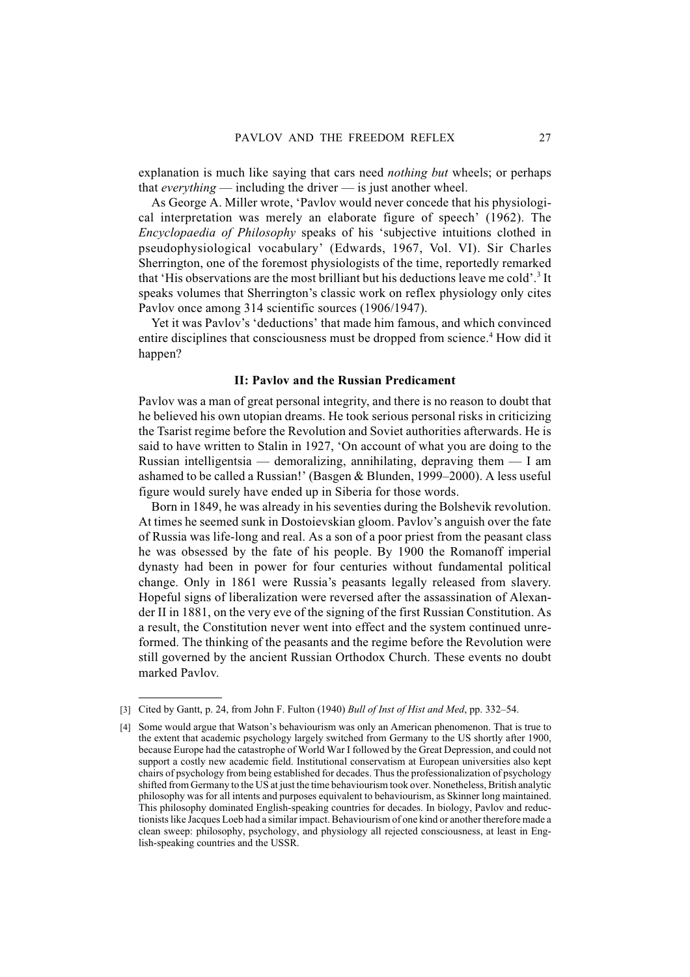explanation is much like saying that cars need *nothing but* wheels; or perhaps that *everything* — including the driver — is just another wheel.

As George A. Miller wrote, 'Pavlov would never concede that his physiological interpretation was merely an elaborate figure of speech' (1962). The *Encyclopaedia of Philosophy* speaks of his 'subjective intuitions clothed in pseudophysiological vocabulary' (Edwards, 1967, Vol. VI). Sir Charles Sherrington, one of the foremost physiologists of the time, reportedly remarked that 'His observations are the most brilliant but his deductions leave me cold'.3 It speaks volumes that Sherrington's classic work on reflex physiology only cites Pavlov once among 314 scientific sources (1906/1947).

Yet it was Pavlov's 'deductions' that made him famous, and which convinced entire disciplines that consciousness must be dropped from science.<sup>4</sup> How did it happen?

#### **II: Pavlov and the Russian Predicament**

Pavlov was a man of great personal integrity, and there is no reason to doubt that he believed his own utopian dreams. He took serious personal risks in criticizing the Tsarist regime before the Revolution and Soviet authorities afterwards. He is said to have written to Stalin in 1927, 'On account of what you are doing to the Russian intelligentsia — demoralizing, annihilating, depraving them  $-1$  am ashamed to be called a Russian!' (Basgen & Blunden, 1999–2000). A less useful figure would surely have ended up in Siberia for those words.

Born in 1849, he was already in his seventies during the Bolshevik revolution. At times he seemed sunk in Dostoievskian gloom. Pavlov's anguish over the fate of Russia was life-long and real. As a son of a poor priest from the peasant class he was obsessed by the fate of his people. By 1900 the Romanoff imperial dynasty had been in power for four centuries without fundamental political change. Only in 1861 were Russia's peasants legally released from slavery. Hopeful signs of liberalization were reversed after the assassination of Alexander II in 1881, on the very eve of the signing of the first Russian Constitution. As a result, the Constitution never went into effect and the system continued unreformed. The thinking of the peasants and the regime before the Revolution were still governed by the ancient Russian Orthodox Church. These events no doubt marked Pavlov.

<sup>[3]</sup> Cited by Gantt, p. 24, from John F. Fulton (1940) *Bull of Inst of Hist and Med*, pp. 332–54.

<sup>[4]</sup> Some would argue that Watson's behaviourism was only an American phenomenon. That is true to the extent that academic psychology largely switched from Germany to the US shortly after 1900, because Europe had the catastrophe of World War I followed by the Great Depression, and could not support a costly new academic field. Institutional conservatism at European universities also kept chairs of psychology from being established for decades. Thus the professionalization of psychology shifted from Germany to the US at just the time behaviourism took over. Nonetheless, British analytic philosophy was for all intents and purposes equivalent to behaviourism, as Skinner long maintained. This philosophy dominated English-speaking countries for decades. In biology, Pavlov and reductionists like Jacques Loeb had a similar impact. Behaviourism of one kind or another therefore made a clean sweep: philosophy, psychology, and physiology all rejected consciousness, at least in English-speaking countries and the USSR.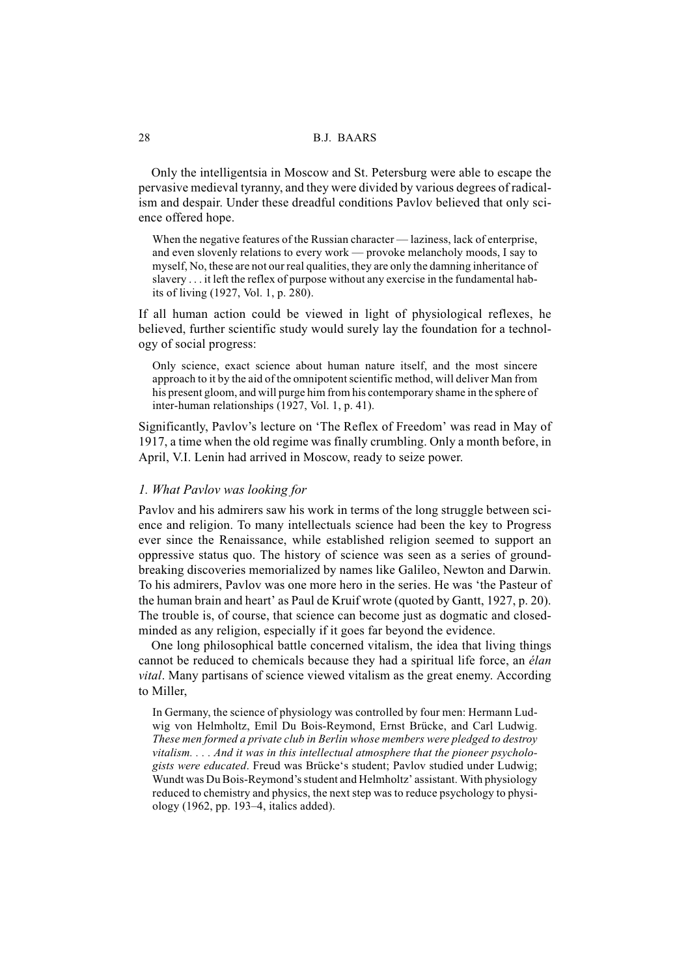Only the intelligentsia in Moscow and St. Petersburg were able to escape the pervasive medieval tyranny, and they were divided by various degrees of radicalism and despair. Under these dreadful conditions Pavlov believed that only science offered hope.

When the negative features of the Russian character — laziness, lack of enterprise, and even slovenly relations to every work — provoke melancholy moods, I say to myself, No, these are not our real qualities, they are only the damning inheritance of slavery . . . it left the reflex of purpose without any exercise in the fundamental habits of living (1927, Vol. 1, p. 280).

If all human action could be viewed in light of physiological reflexes, he believed, further scientific study would surely lay the foundation for a technology of social progress:

Only science, exact science about human nature itself, and the most sincere approach to it by the aid of the omnipotent scientific method, will deliver Man from his present gloom, and will purge him from his contemporary shame in the sphere of inter-human relationships (1927, Vol. 1, p. 41).

Significantly, Pavlov's lecture on 'The Reflex of Freedom' was read in May of 1917, a time when the old regime was finally crumbling. Only a month before, in April, V.I. Lenin had arrived in Moscow, ready to seize power.

# *1. What Pavlov was looking for*

Pavlov and his admirers saw his work in terms of the long struggle between science and religion. To many intellectuals science had been the key to Progress ever since the Renaissance, while established religion seemed to support an oppressive status quo. The history of science was seen as a series of groundbreaking discoveries memorialized by names like Galileo, Newton and Darwin. To his admirers, Pavlov was one more hero in the series. He was 'the Pasteur of the human brain and heart' as Paul de Kruif wrote (quoted by Gantt, 1927, p. 20). The trouble is, of course, that science can become just as dogmatic and closedminded as any religion, especially if it goes far beyond the evidence.

One long philosophical battle concerned vitalism, the idea that living things cannot be reduced to chemicals because they had a spiritual life force, an *élan vital*. Many partisans of science viewed vitalism as the great enemy. According to Miller,

In Germany, the science of physiology was controlled by four men: Hermann Ludwig von Helmholtz, Emil Du Bois-Reymond, Ernst Brücke, and Carl Ludwig. *These men formed a private club in Berlin whose members were pledged to destroy vitalism. . . . And it was in this intellectual atmosphere that the pioneer psychologists were educated*. Freud was Brücke's student; Pavlov studied under Ludwig; Wundt was Du Bois-Reymond's student and Helmholtz' assistant. With physiology reduced to chemistry and physics, the next step was to reduce psychology to physiology (1962, pp. 193–4, italics added).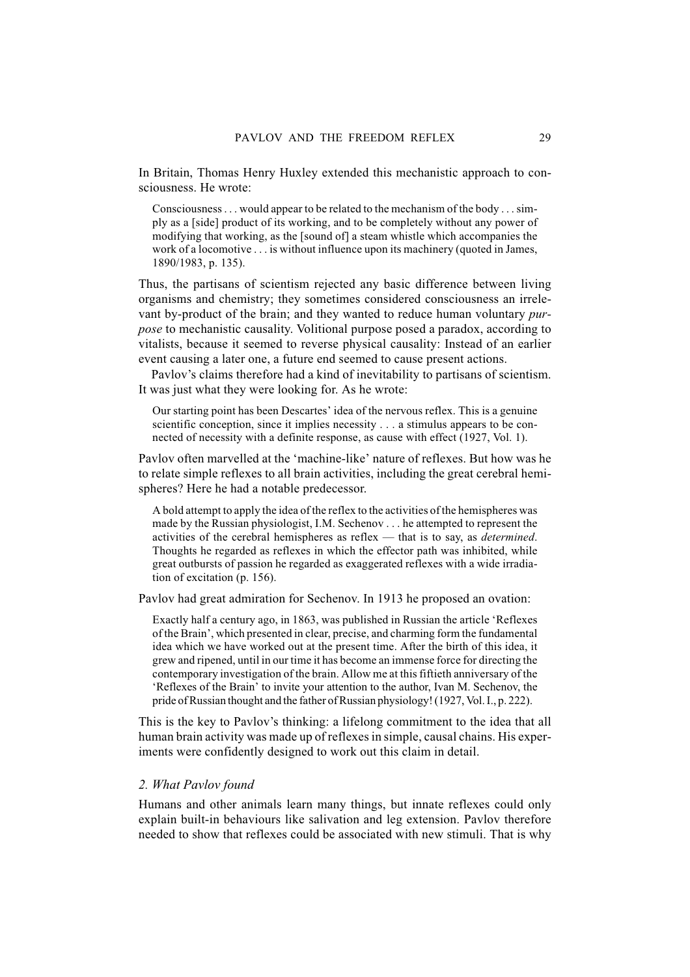In Britain, Thomas Henry Huxley extended this mechanistic approach to consciousness. He wrote:

Consciousness... would appear to be related to the mechanism of the body . . . simply as a [side] product of its working, and to be completely without any power of modifying that working, as the [sound of] a steam whistle which accompanies the work of a locomotive . . . is without influence upon its machinery (quoted in James, 1890/1983, p. 135).

Thus, the partisans of scientism rejected any basic difference between living organisms and chemistry; they sometimes considered consciousness an irrelevant by-product of the brain; and they wanted to reduce human voluntary *purpose* to mechanistic causality. Volitional purpose posed a paradox, according to vitalists, because it seemed to reverse physical causality: Instead of an earlier event causing a later one, a future end seemed to cause present actions.

Pavlov's claims therefore had a kind of inevitability to partisans of scientism. It was just what they were looking for. As he wrote:

Our starting point has been Descartes' idea of the nervous reflex. This is a genuine scientific conception, since it implies necessity . . . a stimulus appears to be connected of necessity with a definite response, as cause with effect (1927, Vol. 1).

Pavlov often marvelled at the 'machine-like' nature of reflexes. But how was he to relate simple reflexes to all brain activities, including the great cerebral hemispheres? Here he had a notable predecessor.

A bold attempt to apply the idea of the reflex to the activities of the hemispheres was made by the Russian physiologist, I.M. Sechenov . . . he attempted to represent the activities of the cerebral hemispheres as reflex — that is to say, as *determined*. Thoughts he regarded as reflexes in which the effector path was inhibited, while great outbursts of passion he regarded as exaggerated reflexes with a wide irradiation of excitation (p. 156).

Pavlov had great admiration for Sechenov. In 1913 he proposed an ovation:

Exactly half a century ago, in 1863, was published in Russian the article 'Reflexes of the Brain', which presented in clear, precise, and charming form the fundamental idea which we have worked out at the present time. After the birth of this idea, it grew and ripened, until in our time it has become an immense force for directing the contemporary investigation of the brain. Allow me at this fiftieth anniversary of the 'Reflexes of the Brain' to invite your attention to the author, Ivan M. Sechenov, the pride of Russian thought and the father of Russian physiology! (1927, Vol. I., p. 222).

This is the key to Pavlov's thinking: a lifelong commitment to the idea that all human brain activity was made up of reflexes in simple, causal chains. His experiments were confidently designed to work out this claim in detail.

#### *2. What Pavlov found*

Humans and other animals learn many things, but innate reflexes could only explain built-in behaviours like salivation and leg extension. Pavlov therefore needed to show that reflexes could be associated with new stimuli. That is why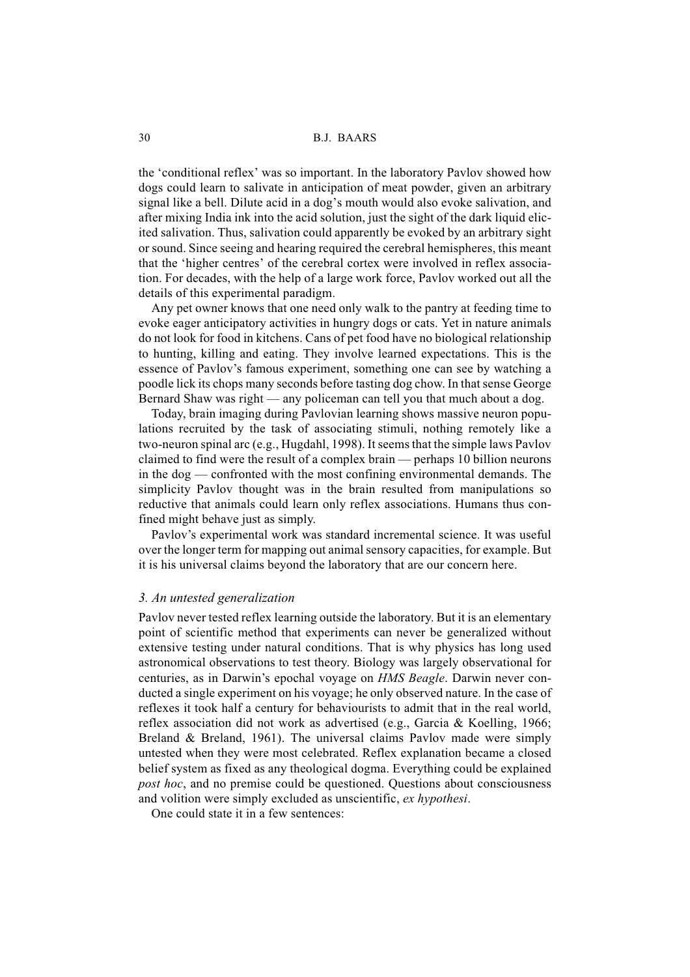the 'conditional reflex' was so important. In the laboratory Pavlov showed how dogs could learn to salivate in anticipation of meat powder, given an arbitrary signal like a bell. Dilute acid in a dog's mouth would also evoke salivation, and after mixing India ink into the acid solution, just the sight of the dark liquid elicited salivation. Thus, salivation could apparently be evoked by an arbitrary sight or sound. Since seeing and hearing required the cerebral hemispheres, this meant that the 'higher centres' of the cerebral cortex were involved in reflex association. For decades, with the help of a large work force, Pavlov worked out all the details of this experimental paradigm.

Any pet owner knows that one need only walk to the pantry at feeding time to evoke eager anticipatory activities in hungry dogs or cats. Yet in nature animals do not look for food in kitchens. Cans of pet food have no biological relationship to hunting, killing and eating. They involve learned expectations. This is the essence of Pavlov's famous experiment, something one can see by watching a poodle lick its chops many seconds before tasting dog chow. In that sense George Bernard Shaw was right — any policeman can tell you that much about a dog.

Today, brain imaging during Pavlovian learning shows massive neuron populations recruited by the task of associating stimuli, nothing remotely like a two-neuron spinal arc (e.g., Hugdahl, 1998). It seems that the simple laws Pavlov claimed to find were the result of a complex brain — perhaps 10 billion neurons in the dog — confronted with the most confining environmental demands. The simplicity Pavlov thought was in the brain resulted from manipulations so reductive that animals could learn only reflex associations. Humans thus confined might behave just as simply.

Pavlov's experimental work was standard incremental science. It was useful over the longer term for mapping out animal sensory capacities, for example. But it is his universal claims beyond the laboratory that are our concern here.

#### *3. An untested generalization*

Pavlov never tested reflex learning outside the laboratory. But it is an elementary point of scientific method that experiments can never be generalized without extensive testing under natural conditions. That is why physics has long used astronomical observations to test theory. Biology was largely observational for centuries, as in Darwin's epochal voyage on *HMS Beagle*. Darwin never conducted a single experiment on his voyage; he only observed nature. In the case of reflexes it took half a century for behaviourists to admit that in the real world, reflex association did not work as advertised (e.g., Garcia & Koelling, 1966; Breland & Breland, 1961). The universal claims Pavlov made were simply untested when they were most celebrated. Reflex explanation became a closed belief system as fixed as any theological dogma. Everything could be explained *post hoc*, and no premise could be questioned. Questions about consciousness and volition were simply excluded as unscientific, *ex hypothesi*.

One could state it in a few sentences: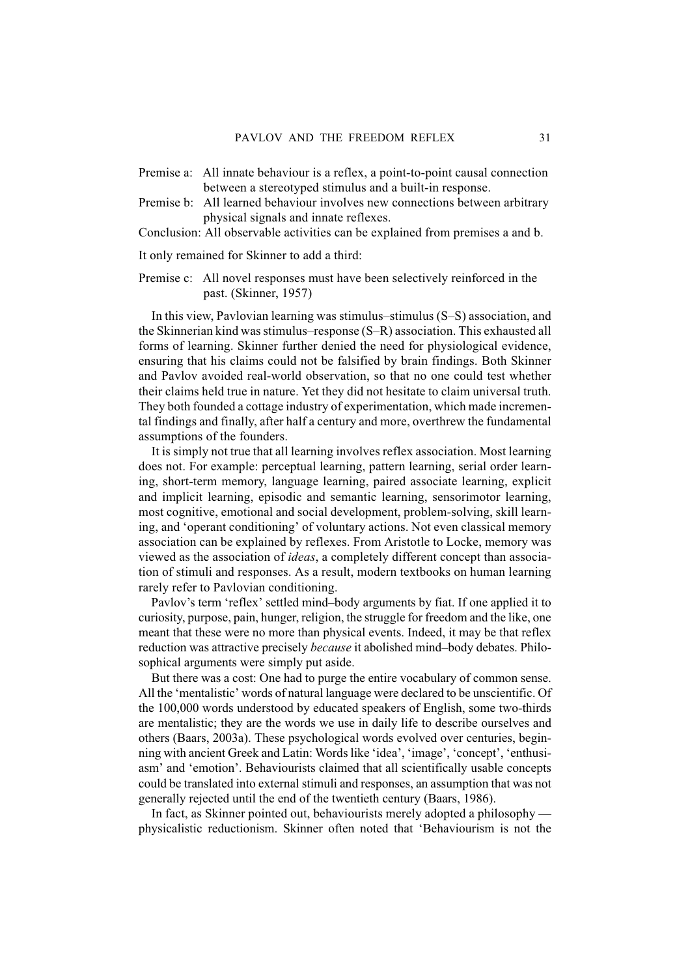- Premise a: All innate behaviour is a reflex, a point-to-point causal connection between a stereotyped stimulus and a built-in response.
- Premise b: All learned behaviour involves new connections between arbitrary physical signals and innate reflexes.
- Conclusion: All observable activities can be explained from premises a and b.

It only remained for Skinner to add a third:

Premise c: All novel responses must have been selectively reinforced in the past. (Skinner, 1957)

In this view, Pavlovian learning was stimulus–stimulus (S–S) association, and the Skinnerian kind was stimulus–response (S–R) association. This exhausted all forms of learning. Skinner further denied the need for physiological evidence, ensuring that his claims could not be falsified by brain findings. Both Skinner and Pavlov avoided real-world observation, so that no one could test whether their claims held true in nature. Yet they did not hesitate to claim universal truth. They both founded a cottage industry of experimentation, which made incremental findings and finally, after half a century and more, overthrew the fundamental assumptions of the founders.

It is simply not true that all learning involves reflex association. Most learning does not. For example: perceptual learning, pattern learning, serial order learning, short-term memory, language learning, paired associate learning, explicit and implicit learning, episodic and semantic learning, sensorimotor learning, most cognitive, emotional and social development, problem-solving, skill learning, and 'operant conditioning' of voluntary actions. Not even classical memory association can be explained by reflexes. From Aristotle to Locke, memory was viewed as the association of *ideas*, a completely different concept than association of stimuli and responses. As a result, modern textbooks on human learning rarely refer to Pavlovian conditioning.

Pavlov's term 'reflex' settled mind–body arguments by fiat. If one applied it to curiosity, purpose, pain, hunger, religion, the struggle for freedom and the like, one meant that these were no more than physical events. Indeed, it may be that reflex reduction was attractive precisely *because* it abolished mind–body debates. Philosophical arguments were simply put aside.

But there was a cost: One had to purge the entire vocabulary of common sense. All the 'mentalistic' words of natural language were declared to be unscientific. Of the 100,000 words understood by educated speakers of English, some two-thirds are mentalistic; they are the words we use in daily life to describe ourselves and others (Baars, 2003a). These psychological words evolved over centuries, beginning with ancient Greek and Latin: Words like 'idea', 'image', 'concept', 'enthusiasm' and 'emotion'. Behaviourists claimed that all scientifically usable concepts could be translated into external stimuli and responses, an assumption that was not generally rejected until the end of the twentieth century (Baars, 1986).

In fact, as Skinner pointed out, behaviourists merely adopted a philosophy physicalistic reductionism. Skinner often noted that 'Behaviourism is not the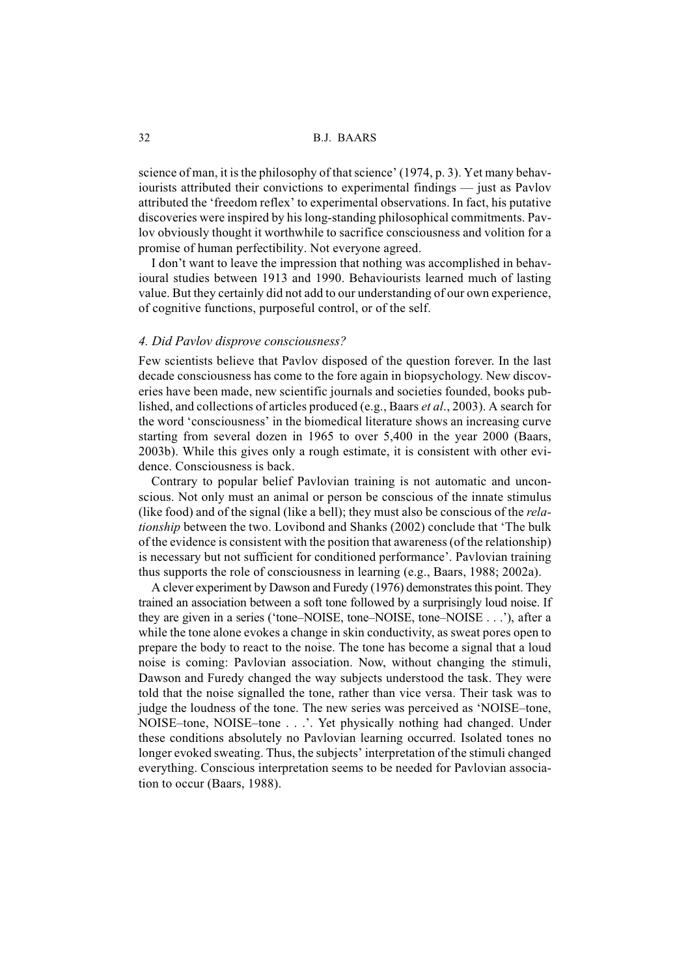science of man, it is the philosophy of that science' (1974, p. 3). Yet many behaviourists attributed their convictions to experimental findings — just as Pavlov attributed the 'freedom reflex' to experimental observations. In fact, his putative discoveries were inspired by his long-standing philosophical commitments. Pavlov obviously thought it worthwhile to sacrifice consciousness and volition for a promise of human perfectibility. Not everyone agreed.

I don't want to leave the impression that nothing was accomplished in behavioural studies between 1913 and 1990. Behaviourists learned much of lasting value. But they certainly did not add to our understanding of our own experience, of cognitive functions, purposeful control, or of the self.

## *4. Did Pavlov disprove consciousness?*

Few scientists believe that Pavlov disposed of the question forever. In the last decade consciousness has come to the fore again in biopsychology. New discoveries have been made, new scientific journals and societies founded, books published, and collections of articles produced (e.g., Baars *et al*., 2003). A search for the word 'consciousness' in the biomedical literature shows an increasing curve starting from several dozen in 1965 to over 5,400 in the year 2000 (Baars, 2003b). While this gives only a rough estimate, it is consistent with other evidence. Consciousness is back.

Contrary to popular belief Pavlovian training is not automatic and unconscious. Not only must an animal or person be conscious of the innate stimulus (like food) and of the signal (like a bell); they must also be conscious of the *relationship* between the two. Lovibond and Shanks (2002) conclude that 'The bulk of the evidence is consistent with the position that awareness (of the relationship) is necessary but not sufficient for conditioned performance'. Pavlovian training thus supports the role of consciousness in learning (e.g., Baars, 1988; 2002a).

A clever experiment by Dawson and Furedy (1976) demonstrates this point. They trained an association between a soft tone followed by a surprisingly loud noise. If they are given in a series ('tone–NOISE, tone–NOISE, tone–NOISE . . .'), after a while the tone alone evokes a change in skin conductivity, as sweat pores open to prepare the body to react to the noise. The tone has become a signal that a loud noise is coming: Pavlovian association. Now, without changing the stimuli, Dawson and Furedy changed the way subjects understood the task. They were told that the noise signalled the tone, rather than vice versa. Their task was to judge the loudness of the tone. The new series was perceived as 'NOISE–tone, NOISE–tone, NOISE–tone . . .'. Yet physically nothing had changed. Under these conditions absolutely no Pavlovian learning occurred. Isolated tones no longer evoked sweating. Thus, the subjects' interpretation of the stimuli changed everything. Conscious interpretation seems to be needed for Pavlovian association to occur (Baars, 1988).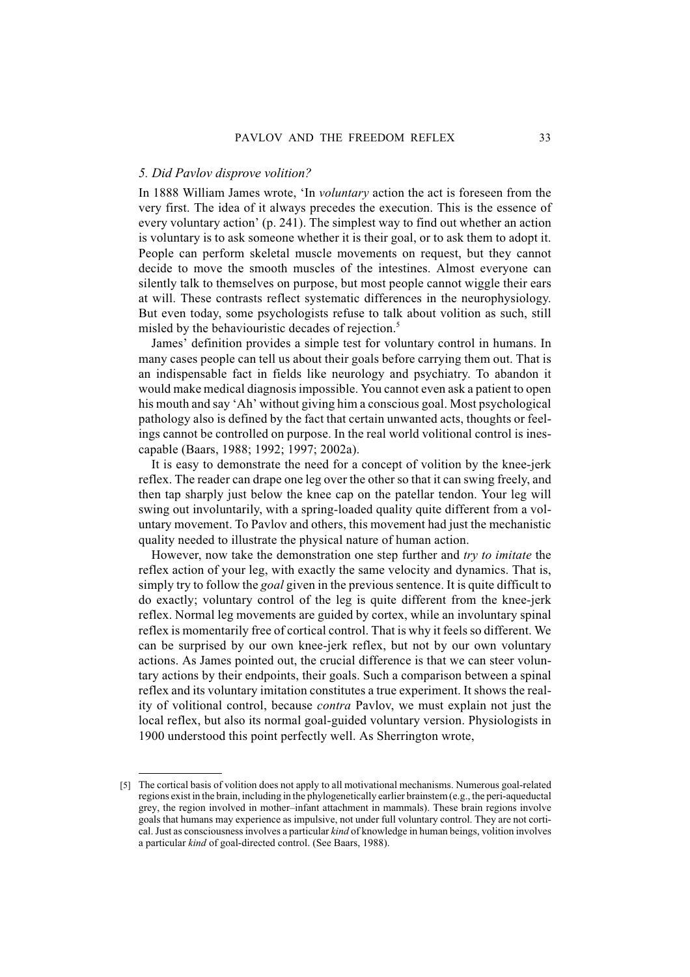# *5. Did Pavlov disprove volition?*

In 1888 William James wrote, 'In *voluntary* action the act is foreseen from the very first. The idea of it always precedes the execution. This is the essence of every voluntary action' (p. 241). The simplest way to find out whether an action is voluntary is to ask someone whether it is their goal, or to ask them to adopt it. People can perform skeletal muscle movements on request, but they cannot decide to move the smooth muscles of the intestines. Almost everyone can silently talk to themselves on purpose, but most people cannot wiggle their ears at will. These contrasts reflect systematic differences in the neurophysiology. But even today, some psychologists refuse to talk about volition as such, still misled by the behaviouristic decades of rejection.<sup>5</sup>

James' definition provides a simple test for voluntary control in humans. In many cases people can tell us about their goals before carrying them out. That is an indispensable fact in fields like neurology and psychiatry. To abandon it would make medical diagnosis impossible. You cannot even ask a patient to open his mouth and say 'Ah' without giving him a conscious goal. Most psychological pathology also is defined by the fact that certain unwanted acts, thoughts or feelings cannot be controlled on purpose. In the real world volitional control is inescapable (Baars, 1988; 1992; 1997; 2002a).

It is easy to demonstrate the need for a concept of volition by the knee-jerk reflex. The reader can drape one leg over the other so that it can swing freely, and then tap sharply just below the knee cap on the patellar tendon. Your leg will swing out involuntarily, with a spring-loaded quality quite different from a voluntary movement. To Pavlov and others, this movement had just the mechanistic quality needed to illustrate the physical nature of human action.

However, now take the demonstration one step further and *try to imitate* the reflex action of your leg, with exactly the same velocity and dynamics. That is, simply try to follow the *goal* given in the previous sentence. It is quite difficult to do exactly; voluntary control of the leg is quite different from the knee-jerk reflex. Normal leg movements are guided by cortex, while an involuntary spinal reflex is momentarily free of cortical control. That is why it feels so different. We can be surprised by our own knee-jerk reflex, but not by our own voluntary actions. As James pointed out, the crucial difference is that we can steer voluntary actions by their endpoints, their goals. Such a comparison between a spinal reflex and its voluntary imitation constitutes a true experiment. It shows the reality of volitional control, because *contra* Pavlov, we must explain not just the local reflex, but also its normal goal-guided voluntary version. Physiologists in 1900 understood this point perfectly well. As Sherrington wrote,

<sup>[5]</sup> The cortical basis of volition does not apply to all motivational mechanisms. Numerous goal-related regions exist in the brain, including in the phylogenetically earlier brainstem (e.g., the peri-aqueductal grey, the region involved in mother–infant attachment in mammals). These brain regions involve goals that humans may experience as impulsive, not under full voluntary control. They are not cortical. Just as consciousness involves a particular *kind* of knowledge in human beings, volition involves a particular *kind* of goal-directed control. (See Baars, 1988).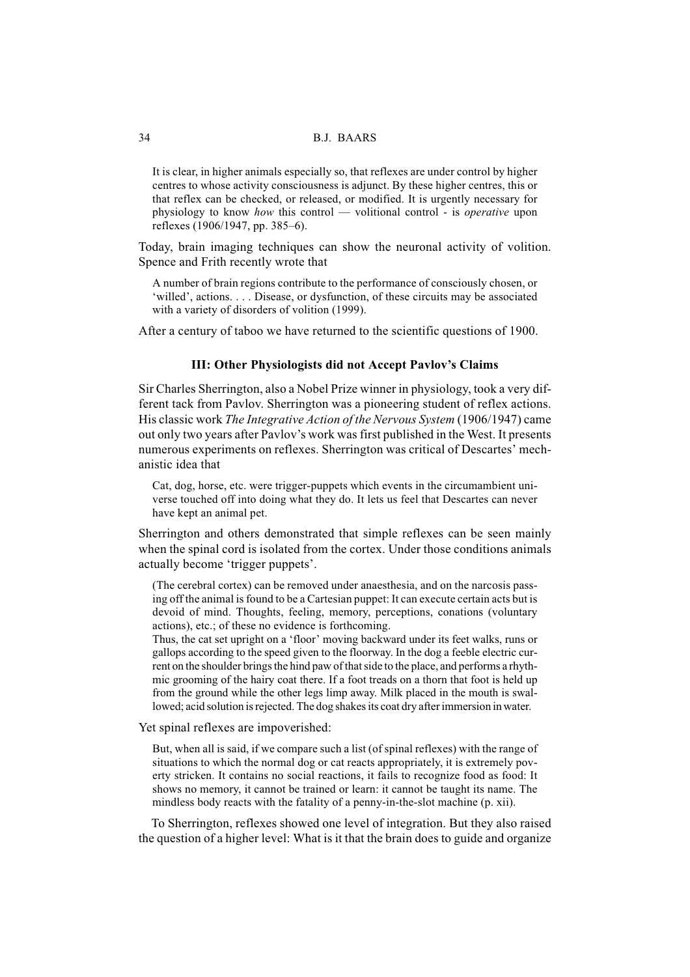It is clear, in higher animals especially so, that reflexes are under control by higher centres to whose activity consciousness is adjunct. By these higher centres, this or that reflex can be checked, or released, or modified. It is urgently necessary for physiology to know *how* this control — volitional control - is *operative* upon reflexes (1906/1947, pp. 385–6).

Today, brain imaging techniques can show the neuronal activity of volition. Spence and Frith recently wrote that

A number of brain regions contribute to the performance of consciously chosen, or 'willed', actions.... Disease, or dysfunction, of these circuits may be associated with a variety of disorders of volition (1999).

After a century of taboo we have returned to the scientific questions of 1900.

#### **III: Other Physiologists did not Accept Pavlov's Claims**

Sir Charles Sherrington, also a Nobel Prize winner in physiology, took a very different tack from Pavlov. Sherrington was a pioneering student of reflex actions. His classic work *The Integrative Action of the Nervous System* (1906/1947) came out only two years after Pavlov's work was first published in the West. It presents numerous experiments on reflexes. Sherrington was critical of Descartes' mechanistic idea that

Cat, dog, horse, etc. were trigger-puppets which events in the circumambient universe touched off into doing what they do. It lets us feel that Descartes can never have kept an animal pet.

Sherrington and others demonstrated that simple reflexes can be seen mainly when the spinal cord is isolated from the cortex. Under those conditions animals actually become 'trigger puppets'.

(The cerebral cortex) can be removed under anaesthesia, and on the narcosis passing off the animal is found to be a Cartesian puppet: It can execute certain acts but is devoid of mind. Thoughts, feeling, memory, perceptions, conations (voluntary actions), etc.; of these no evidence is forthcoming.

Thus, the cat set upright on a 'floor' moving backward under its feet walks, runs or gallops according to the speed given to the floorway. In the dog a feeble electric current on the shoulder brings the hind paw of that side to the place, and performs a rhythmic grooming of the hairy coat there. If a foot treads on a thorn that foot is held up from the ground while the other legs limp away. Milk placed in the mouth is swallowed; acid solution is rejected. The dog shakes its coat dry after immersion in water.

Yet spinal reflexes are impoverished:

But, when all is said, if we compare such a list (of spinal reflexes) with the range of situations to which the normal dog or cat reacts appropriately, it is extremely poverty stricken. It contains no social reactions, it fails to recognize food as food: It shows no memory, it cannot be trained or learn: it cannot be taught its name. The mindless body reacts with the fatality of a penny-in-the-slot machine (p. xii).

To Sherrington, reflexes showed one level of integration. But they also raised the question of a higher level: What is it that the brain does to guide and organize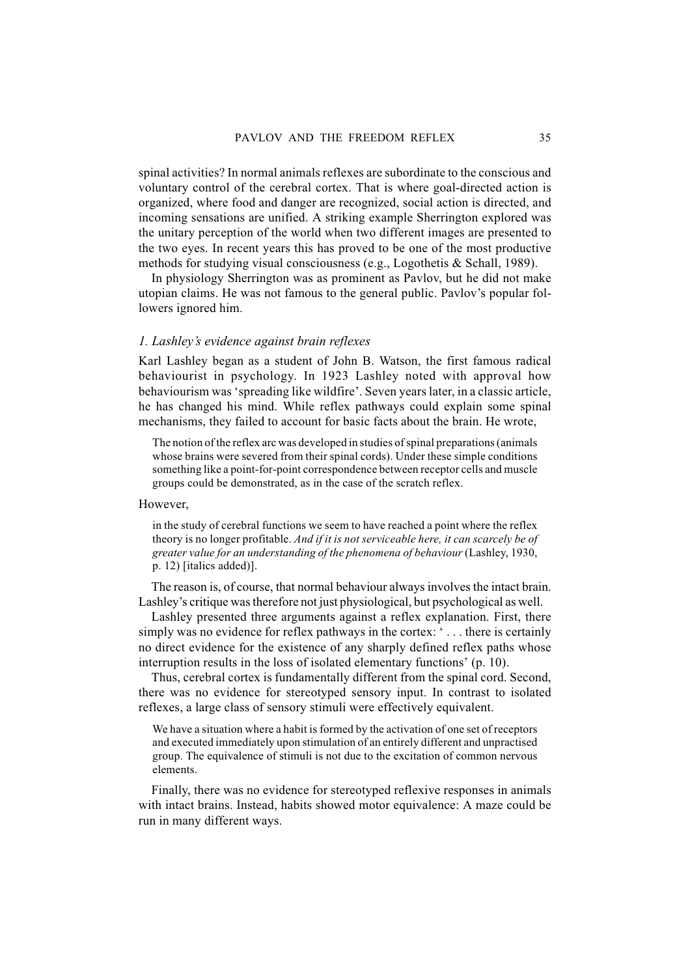spinal activities? In normal animals reflexes are subordinate to the conscious and voluntary control of the cerebral cortex. That is where goal-directed action is organized, where food and danger are recognized, social action is directed, and incoming sensations are unified. A striking example Sherrington explored was the unitary perception of the world when two different images are presented to the two eyes. In recent years this has proved to be one of the most productive methods for studying visual consciousness (e.g., Logothetis & Schall, 1989).

In physiology Sherrington was as prominent as Pavlov, but he did not make utopian claims. He was not famous to the general public. Pavlov's popular followers ignored him.

## *1. Lashley's evidence against brain reflexes*

Karl Lashley began as a student of John B. Watson, the first famous radical behaviourist in psychology. In 1923 Lashley noted with approval how behaviourism was 'spreading like wildfire'. Seven years later, in a classic article, he has changed his mind. While reflex pathways could explain some spinal mechanisms, they failed to account for basic facts about the brain. He wrote,

The notion of the reflex arc was developed in studies of spinal preparations (animals whose brains were severed from their spinal cords). Under these simple conditions something like a point-for-point correspondence between receptor cells and muscle groups could be demonstrated, as in the case of the scratch reflex.

However,

in the study of cerebral functions we seem to have reached a point where the reflex theory is no longer profitable. *And if it is not serviceable here, it can scarcely be of greater value for an understanding of the phenomena of behaviour* (Lashley, 1930, p. 12) [italics added)].

The reason is, of course, that normal behaviour always involves the intact brain. Lashley's critique was therefore not just physiological, but psychological as well.

Lashley presented three arguments against a reflex explanation. First, there simply was no evidence for reflex pathways in the cortex: ' . . . there is certainly no direct evidence for the existence of any sharply defined reflex paths whose interruption results in the loss of isolated elementary functions' (p. 10).

Thus, cerebral cortex is fundamentally different from the spinal cord. Second, there was no evidence for stereotyped sensory input. In contrast to isolated reflexes, a large class of sensory stimuli were effectively equivalent.

We have a situation where a habit is formed by the activation of one set of receptors and executed immediately upon stimulation of an entirely different and unpractised group. The equivalence of stimuli is not due to the excitation of common nervous elements.

Finally, there was no evidence for stereotyped reflexive responses in animals with intact brains. Instead, habits showed motor equivalence: A maze could be run in many different ways.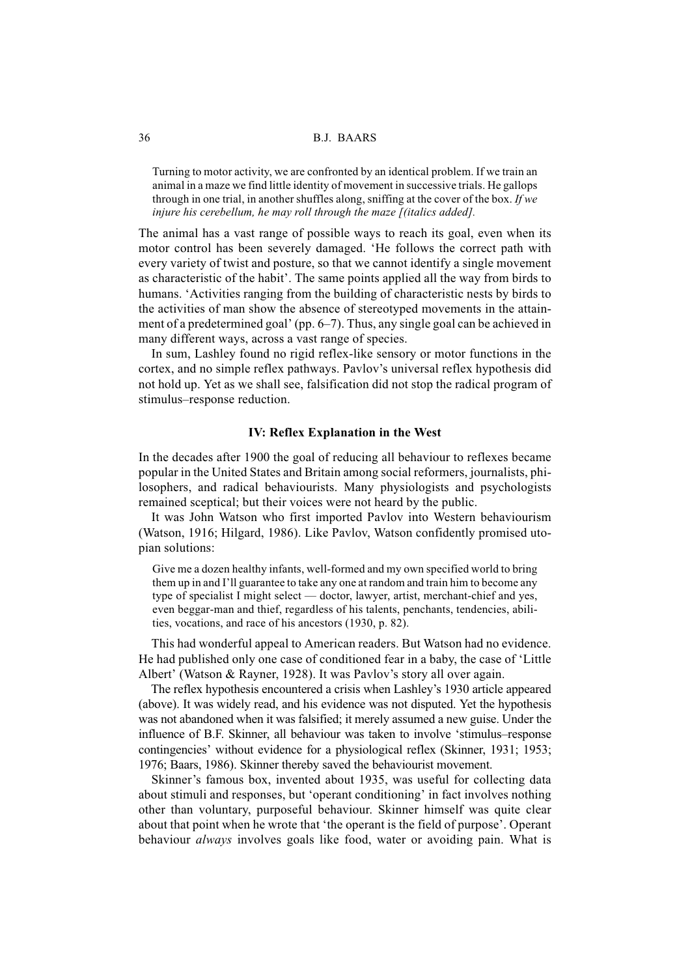Turning to motor activity, we are confronted by an identical problem. If we train an animal in a maze we find little identity of movement in successive trials. He gallops through in one trial, in another shuffles along, sniffing at the cover of the box. *If we injure his cerebellum, he may roll through the maze [(italics added].*

The animal has a vast range of possible ways to reach its goal, even when its motor control has been severely damaged. 'He follows the correct path with every variety of twist and posture, so that we cannot identify a single movement as characteristic of the habit'. The same points applied all the way from birds to humans. 'Activities ranging from the building of characteristic nests by birds to the activities of man show the absence of stereotyped movements in the attainment of a predetermined goal' (pp. 6–7). Thus, any single goal can be achieved in many different ways, across a vast range of species.

In sum, Lashley found no rigid reflex-like sensory or motor functions in the cortex, and no simple reflex pathways. Pavlov's universal reflex hypothesis did not hold up. Yet as we shall see, falsification did not stop the radical program of stimulus–response reduction.

#### **IV: Reflex Explanation in the West**

In the decades after 1900 the goal of reducing all behaviour to reflexes became popular in the United States and Britain among social reformers, journalists, philosophers, and radical behaviourists. Many physiologists and psychologists remained sceptical; but their voices were not heard by the public.

It was John Watson who first imported Pavlov into Western behaviourism (Watson, 1916; Hilgard, 1986). Like Pavlov, Watson confidently promised utopian solutions:

Give me a dozen healthy infants, well-formed and my own specified world to bring them up in and I'll guarantee to take any one at random and train him to become any type of specialist I might select — doctor, lawyer, artist, merchant-chief and yes, even beggar-man and thief, regardless of his talents, penchants, tendencies, abilities, vocations, and race of his ancestors (1930, p. 82).

This had wonderful appeal to American readers. But Watson had no evidence. He had published only one case of conditioned fear in a baby, the case of 'Little Albert' (Watson & Rayner, 1928). It was Pavlov's story all over again.

The reflex hypothesis encountered a crisis when Lashley's 1930 article appeared (above). It was widely read, and his evidence was not disputed. Yet the hypothesis was not abandoned when it was falsified; it merely assumed a new guise. Under the influence of B.F. Skinner, all behaviour was taken to involve 'stimulus–response contingencies' without evidence for a physiological reflex (Skinner, 1931; 1953; 1976; Baars, 1986). Skinner thereby saved the behaviourist movement.

Skinner's famous box, invented about 1935, was useful for collecting data about stimuli and responses, but 'operant conditioning' in fact involves nothing other than voluntary, purposeful behaviour. Skinner himself was quite clear about that point when he wrote that 'the operant is the field of purpose'. Operant behaviour *always* involves goals like food, water or avoiding pain. What is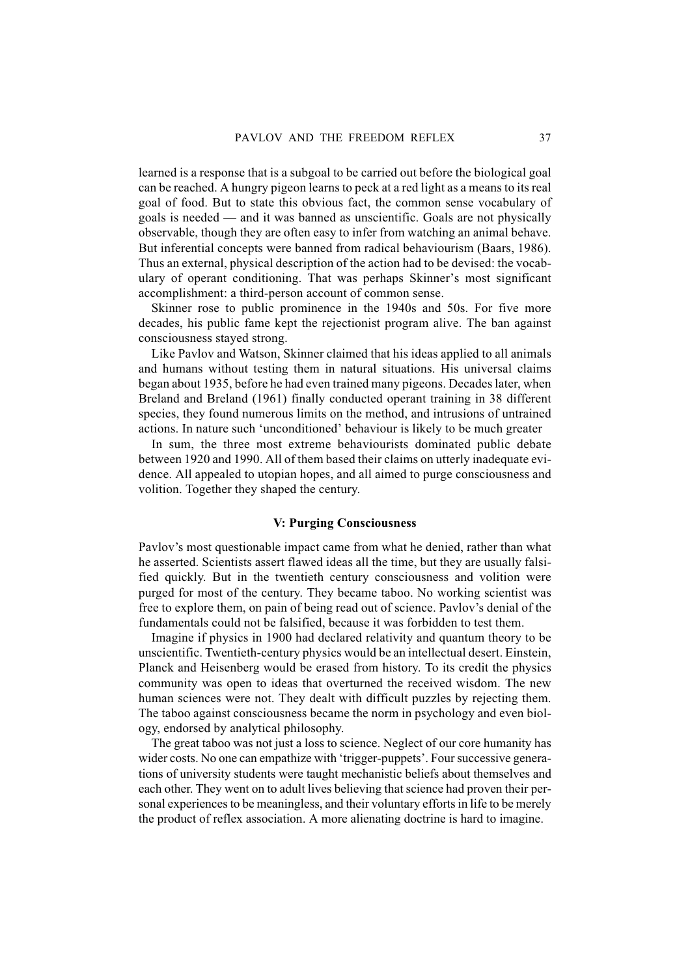learned is a response that is a subgoal to be carried out before the biological goal can be reached. A hungry pigeon learns to peck at a red light as a means to its real goal of food. But to state this obvious fact, the common sense vocabulary of goals is needed — and it was banned as unscientific. Goals are not physically observable, though they are often easy to infer from watching an animal behave. But inferential concepts were banned from radical behaviourism (Baars, 1986). Thus an external, physical description of the action had to be devised: the vocabulary of operant conditioning. That was perhaps Skinner's most significant accomplishment: a third-person account of common sense.

Skinner rose to public prominence in the 1940s and 50s. For five more decades, his public fame kept the rejectionist program alive. The ban against consciousness stayed strong.

Like Pavlov and Watson, Skinner claimed that his ideas applied to all animals and humans without testing them in natural situations. His universal claims began about 1935, before he had even trained many pigeons. Decades later, when Breland and Breland (1961) finally conducted operant training in 38 different species, they found numerous limits on the method, and intrusions of untrained actions. In nature such 'unconditioned' behaviour is likely to be much greater

In sum, the three most extreme behaviourists dominated public debate between 1920 and 1990. All of them based their claims on utterly inadequate evidence. All appealed to utopian hopes, and all aimed to purge consciousness and volition. Together they shaped the century.

#### **V: Purging Consciousness**

Pavlov's most questionable impact came from what he denied, rather than what he asserted. Scientists assert flawed ideas all the time, but they are usually falsified quickly. But in the twentieth century consciousness and volition were purged for most of the century. They became taboo. No working scientist was free to explore them, on pain of being read out of science. Pavlov's denial of the fundamentals could not be falsified, because it was forbidden to test them.

Imagine if physics in 1900 had declared relativity and quantum theory to be unscientific. Twentieth-century physics would be an intellectual desert. Einstein, Planck and Heisenberg would be erased from history. To its credit the physics community was open to ideas that overturned the received wisdom. The new human sciences were not. They dealt with difficult puzzles by rejecting them. The taboo against consciousness became the norm in psychology and even biology, endorsed by analytical philosophy.

The great taboo was not just a loss to science. Neglect of our core humanity has wider costs. No one can empathize with 'trigger-puppets'. Four successive generations of university students were taught mechanistic beliefs about themselves and each other. They went on to adult lives believing that science had proven their personal experiences to be meaningless, and their voluntary efforts in life to be merely the product of reflex association. A more alienating doctrine is hard to imagine.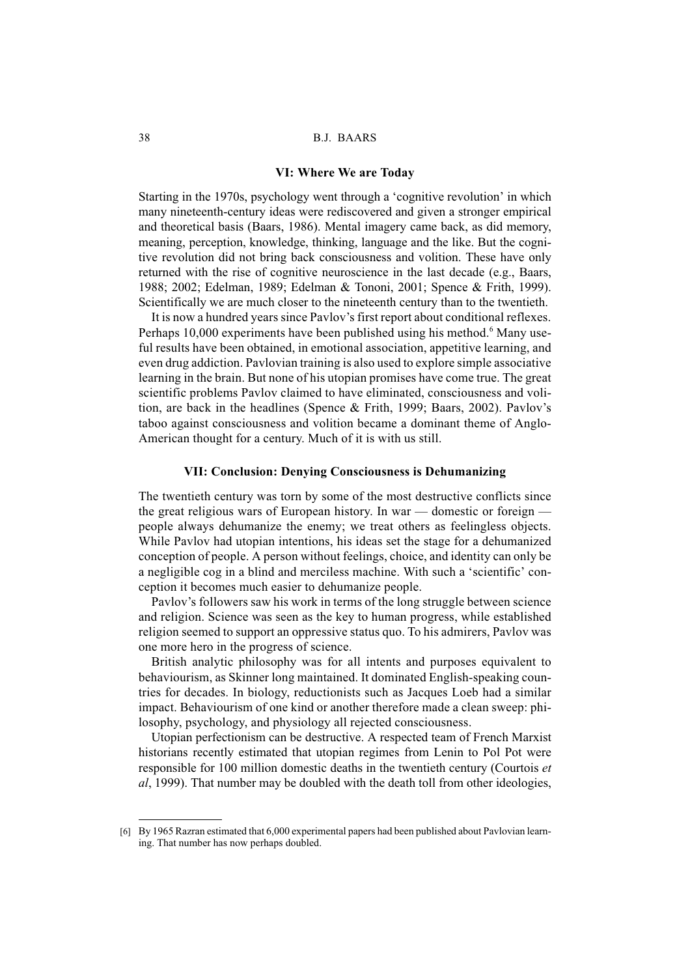#### **VI: Where We are Today**

Starting in the 1970s, psychology went through a 'cognitive revolution' in which many nineteenth-century ideas were rediscovered and given a stronger empirical and theoretical basis (Baars, 1986). Mental imagery came back, as did memory, meaning, perception, knowledge, thinking, language and the like. But the cognitive revolution did not bring back consciousness and volition. These have only returned with the rise of cognitive neuroscience in the last decade (e.g., Baars, 1988; 2002; Edelman, 1989; Edelman & Tononi, 2001; Spence & Frith, 1999). Scientifically we are much closer to the nineteenth century than to the twentieth.

It is now a hundred years since Pavlov's first report about conditional reflexes. Perhaps 10,000 experiments have been published using his method.<sup>6</sup> Many useful results have been obtained, in emotional association, appetitive learning, and even drug addiction. Pavlovian training is also used to explore simple associative learning in the brain. But none of his utopian promises have come true. The great scientific problems Pavlov claimed to have eliminated, consciousness and volition, are back in the headlines (Spence & Frith, 1999; Baars, 2002). Pavlov's taboo against consciousness and volition became a dominant theme of Anglo-American thought for a century. Much of it is with us still.

#### **VII: Conclusion: Denying Consciousness is Dehumanizing**

The twentieth century was torn by some of the most destructive conflicts since the great religious wars of European history. In war — domestic or foreign people always dehumanize the enemy; we treat others as feelingless objects. While Pavlov had utopian intentions, his ideas set the stage for a dehumanized conception of people. A person without feelings, choice, and identity can only be a negligible cog in a blind and merciless machine. With such a 'scientific' conception it becomes much easier to dehumanize people.

Pavlov's followers saw his work in terms of the long struggle between science and religion. Science was seen as the key to human progress, while established religion seemed to support an oppressive status quo. To his admirers, Pavlov was one more hero in the progress of science.

British analytic philosophy was for all intents and purposes equivalent to behaviourism, as Skinner long maintained. It dominated English-speaking countries for decades. In biology, reductionists such as Jacques Loeb had a similar impact. Behaviourism of one kind or another therefore made a clean sweep: philosophy, psychology, and physiology all rejected consciousness.

Utopian perfectionism can be destructive. A respected team of French Marxist historians recently estimated that utopian regimes from Lenin to Pol Pot were responsible for 100 million domestic deaths in the twentieth century (Courtois *et al*, 1999). That number may be doubled with the death toll from other ideologies,

<sup>[6]</sup> By 1965 Razran estimated that 6,000 experimental papers had been published about Pavlovian learning. That number has now perhaps doubled.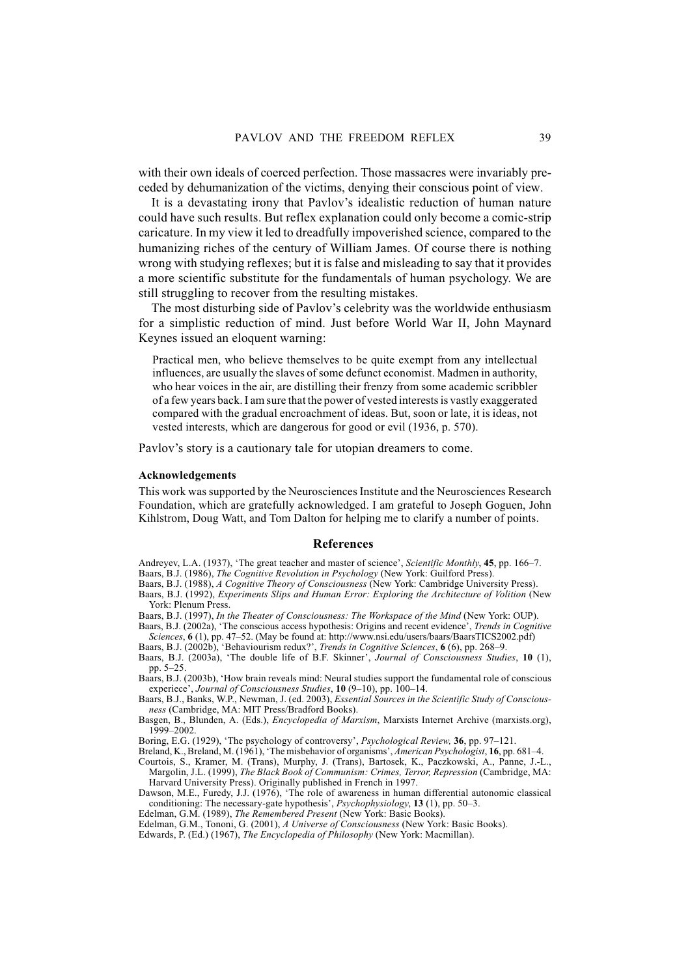with their own ideals of coerced perfection. Those massacres were invariably preceded by dehumanization of the victims, denying their conscious point of view.

It is a devastating irony that Pavlov's idealistic reduction of human nature could have such results. But reflex explanation could only become a comic-strip caricature. In my view it led to dreadfully impoverished science, compared to the humanizing riches of the century of William James. Of course there is nothing wrong with studying reflexes; but it is false and misleading to say that it provides a more scientific substitute for the fundamentals of human psychology. We are still struggling to recover from the resulting mistakes.

The most disturbing side of Pavlov's celebrity was the worldwide enthusiasm for a simplistic reduction of mind. Just before World War II, John Maynard Keynes issued an eloquent warning:

Practical men, who believe themselves to be quite exempt from any intellectual influences, are usually the slaves of some defunct economist. Madmen in authority, who hear voices in the air, are distilling their frenzy from some academic scribbler of a few years back. I am sure that the power of vested interests is vastly exaggerated compared with the gradual encroachment of ideas. But, soon or late, it is ideas, not vested interests, which are dangerous for good or evil (1936, p. 570).

Pavlov's story is a cautionary tale for utopian dreamers to come.

#### **Acknowledgements**

This work was supported by the Neurosciences Institute and the Neurosciences Research Foundation, which are gratefully acknowledged. I am grateful to Joseph Goguen, John Kihlstrom, Doug Watt, and Tom Dalton for helping me to clarify a number of points.

#### **References**

Andreyev, L.A. (1937), 'The great teacher and master of science', *Scientific Monthly*, **45**, pp. 166–7.

Baars, B.J. (1986), *The Cognitive Revolution in Psychology* (New York: Guilford Press).

Baars, B.J. (1988), *A Cognitive Theory of Consciousness* (New York: Cambridge University Press). Baars, B.J. (1992), *Experiments Slips and Human Error: Exploring the Architecture of Volition* (New York: Plenum Press.

Baars, B.J. (1997), *In the Theater of Consciousness: The Workspace of the Mind* (New York: OUP).

Baars, B.J. (2002a), 'The conscious access hypothesis: Origins and recent evidence', *Trends in Cognitive Sciences*, **6** (1), pp. 47–52. (May be found at: http://www.nsi.edu/users/baars/BaarsTICS2002.pdf) Baars, B.J. (2002b), 'Behaviourism redux?', *Trends in Cognitive Sciences*, **6** (6), pp. 268–9.

Baars, B.J. (2003a), 'The double life of B.F. Skinner', *Journal of Consciousness Studies*, **10** (1), pp. 5–25.

Baars, B.J. (2003b), 'How brain reveals mind: Neural studies support the fundamental role of conscious experiece', *Journal of Consciousness Studies*, **10** (9–10), pp. 100–14.

Baars, B.J., Banks, W.P., Newman, J. (ed. 2003), *Essential Sources in the Scientific Study of Consciousness* (Cambridge, MA: MIT Press/Bradford Books).

Basgen, B., Blunden, A. (Eds.), *Encyclopedia of Marxism*, Marxists Internet Archive (marxists.org), 1999–2002.

Boring, E.G. (1929), 'The psychology of controversy', *Psychological Review,* **36**, pp. 97–121.

Breland, K., Breland, M. (1961), 'The misbehavior of organisms', *American Psychologist*, **16**, pp. 681–4.

Courtois, S., Kramer, M. (Trans), Murphy, J. (Trans), Bartosek, K., Paczkowski, A., Panne, J.-L., Margolin, J.L. (1999), *The Black Book of Communism: Crimes, Terror, Repression* (Cambridge, MA: Harvard University Press). Originally published in French in 1997.

Dawson, M.E., Furedy, J.J. (1976), 'The role of awareness in human differential autonomic classical conditioning: The necessary-gate hypothesis', *Psychophysiology*, **13** (1), pp. 50–3.

Edelman, G.M. (1989), *The Remembered Present* (New York: Basic Books).

Edelman, G.M., Tononi, G. (2001), *A Universe of Consciousness* (New York: Basic Books).

Edwards, P. (Ed.) (1967), *The Encyclopedia of Philosophy* (New York: Macmillan).